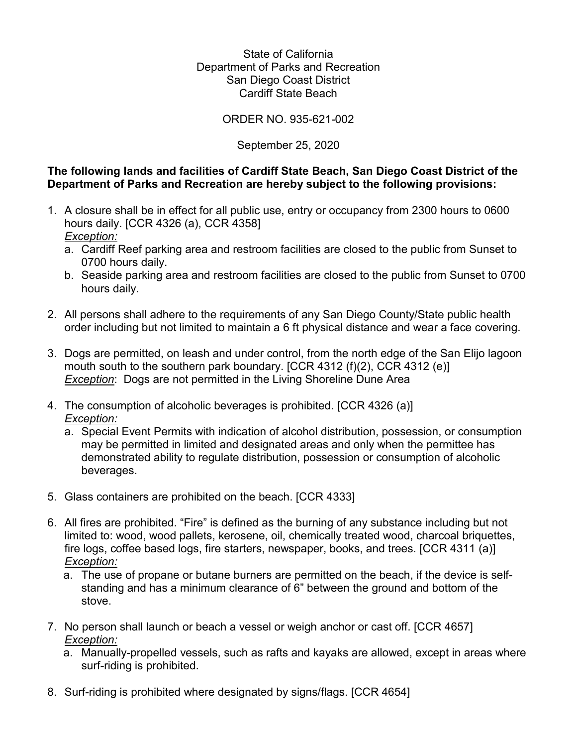## State of California Department of Parks and Recreation San Diego Coast District Cardiff State Beach

## ORDER NO. 935-621-002

# September 25, 2020

## **The following lands and facilities of Cardiff State Beach, San Diego Coast District of the Department of Parks and Recreation are hereby subject to the following provisions:**

- hours daily. [CCR 4326 (a), CCR 4358] 1. A closure shall be in effect for all public use, entry or occupancy from 2300 hours to 0600 *Exception:* 
	- a. Cardiff Reef parking area and restroom facilities are closed to the public from Sunset to 0700 hours daily.
	- b. Seaside parking area and restroom facilities are closed to the public from Sunset to 0700 hours daily.
- 2. All persons shall adhere to the requirements of any San Diego County/State public health order including but not limited to maintain a 6 ft physical distance and wear a face covering.
- *Exception*: Dogs are not permitted in the Living Shoreline Dune Area 3. Dogs are permitted, on leash and under control, from the north edge of the San Elijo lagoon mouth south to the southern park boundary. [CCR 4312 (f)(2), CCR 4312 (e)]
- 4. The consumption of alcoholic beverages is prohibited. [CCR 4326 (a)] *Exception:* 
	- a. Special Event Permits with indication of alcohol distribution, possession, or consumption may be permitted in limited and designated areas and only when the permittee has demonstrated ability to regulate distribution, possession or consumption of alcoholic beverages.
- 5. Glass containers are prohibited on the beach. [CCR 4333]
- 6. All fires are prohibited. "Fire" is defined as the burning of any substance including but not limited to: wood, wood pallets, kerosene, oil, chemically treated wood, charcoal briquettes, fire logs, coffee based logs, fire starters, newspaper, books, and trees. [CCR 4311 (a)] *Exception:* 
	- a. The use of propane or butane burners are permitted on the beach, if the device is selfstanding and has a minimum clearance of 6" between the ground and bottom of the stove.
- 7. No person shall launch or beach a vessel or weigh anchor or cast off. [CCR 4657] *Exception:* 
	- a. Manually-propelled vessels, such as rafts and kayaks are allowed, except in areas where surf-riding is prohibited.
- 8. Surf-riding is prohibited where designated by signs/flags. [CCR 4654]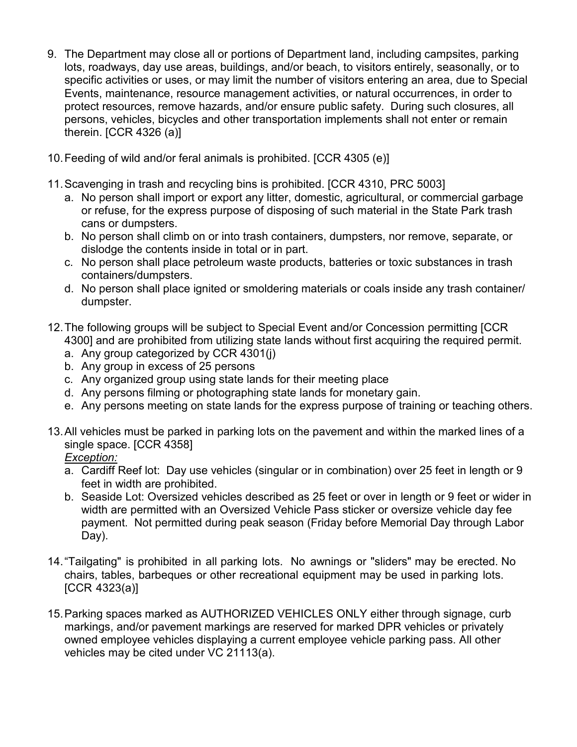- 9. The Department may close all or portions of Department land, including campsites, parking lots, roadways, day use areas, buildings, and/or beach, to visitors entirely, seasonally, or to specific activities or uses, or may limit the number of visitors entering an area, due to Special Events, maintenance, resource management activities, or natural occurrences, in order to protect resources, remove hazards, and/or ensure public safety. During such closures, all persons, vehicles, bicycles and other transportation implements shall not enter or remain therein. [CCR 4326 (a)]
- 10.Feeding of wild and/or feral animals is prohibited. [CCR 4305 (e)]
- 11.Scavenging in trash and recycling bins is prohibited. [CCR 4310, PRC 5003]
	- a. No person shall import or export any litter, domestic, agricultural, or commercial garbage or refuse, for the express purpose of disposing of such material in the State Park trash cans or dumpsters.
	- b. No person shall climb on or into trash containers, dumpsters, nor remove, separate, or dislodge the contents inside in total or in part.
	- c. No person shall place petroleum waste products, batteries or toxic substances in trash containers/dumpsters.
	- d. No person shall place ignited or smoldering materials or coals inside any trash container/ dumpster.
- 12.The following groups will be subject to Special Event and/or Concession permitting [CCR 4300] and are prohibited from utilizing state lands without first acquiring the required permit.
	- a. Any group categorized by CCR 4301(j)
	- b. Any group in excess of 25 persons
	- c. Any organized group using state lands for their meeting place
	- d. Any persons filming or photographing state lands for monetary gain.
	- e. Any persons meeting on state lands for the express purpose of training or teaching others.
- 13.All vehicles must be parked in parking lots on the pavement and within the marked lines of a single space. [CCR 4358]
	- *Exception:*
	- a. Cardiff Reef lot: Day use vehicles (singular or in combination) over 25 feet in length or 9 feet in width are prohibited.
	- b. Seaside Lot: Oversized vehicles described as 25 feet or over in length or 9 feet or wider in width are permitted with an Oversized Vehicle Pass sticker or oversize vehicle day fee payment. Not permitted during peak season (Friday before Memorial Day through Labor Day).
- 14."Tailgating" is prohibited in all parking lots. No awnings or "sliders" may be erected. No chairs, tables, barbeques or other recreational equipment may be used in parking lots. [CCR 4323(a)]
- markings, and/or pavement markings are reserved for marked DPR vehicles or privately 15.Parking spaces marked as AUTHORIZED VEHICLES ONLY either through signage, curb owned employee vehicles displaying a current employee vehicle parking pass. All other vehicles may be cited under VC 21113(a).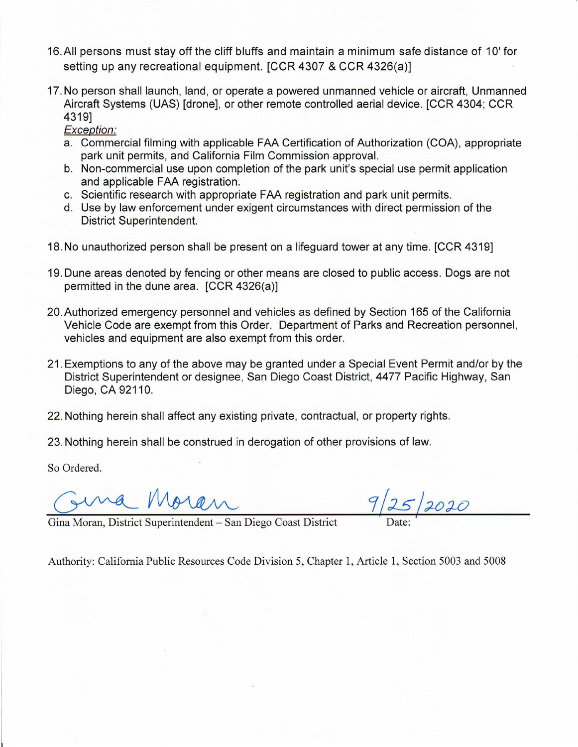- 16.AII persons must stay off the cliff bluffs and maintain a minimum safe distance of 1O' for setting up any recreational equipment. [CCR 4307 & CCR 4326(a)]
- 17. No person shall launch, land, or operate a powered unmanned vehicle or aircraft, Unmanned Aircraft Systems (UAS) [drone], or other remote controlled aerial device. [CCR 4304; CCR 4319]

Exception:

- a. Commercial filming with applicable FAA Certification of Authorization (COA), appropriate park unit permits, and California Film Commission approval.
- b. Non-commercial use upon completion of the park unit's special use permit application and applicable FAA registration.
- c. Scientific research with appropriate FAA registration and park unit permits.
- d. Use by law enforcement under exigent circumstances with direct permission of the District Superintendent.
- 18. No unauthorized person shall be present on a lifeguard tower at any time. [CCR 4319]
- 19. Dune areas denoted by fencing or other means are closed to public access. Dogs are not permitted in the dune area. [CCR 4326(a)]
- 20. Authorized emergency personnel and vehicles as defined by Section 165 of the California Vehicle Code are exempt from this Order. Department of Parks and Recreation personnel, vehicles and equipment are also exempt from this order.
- 21. Exemptions to any of the above may be granted under a Special Event Permit and/or by the District Superintendent or designee, San Diego Coast District, 4477 Pacific Highway, San Diego, CA 92110.
- 22. Nothing herein shall affect any existing private, contractual, or property rights.

23. Nothing herein shall be construed in derogation of other provisions of law.

So Ordered.

Gina Moran, District Superintendent - San Diego Coast District

Authority: California Public Resources Code Division 5, Chapter 1, Article 1, Section 5003 and 5008